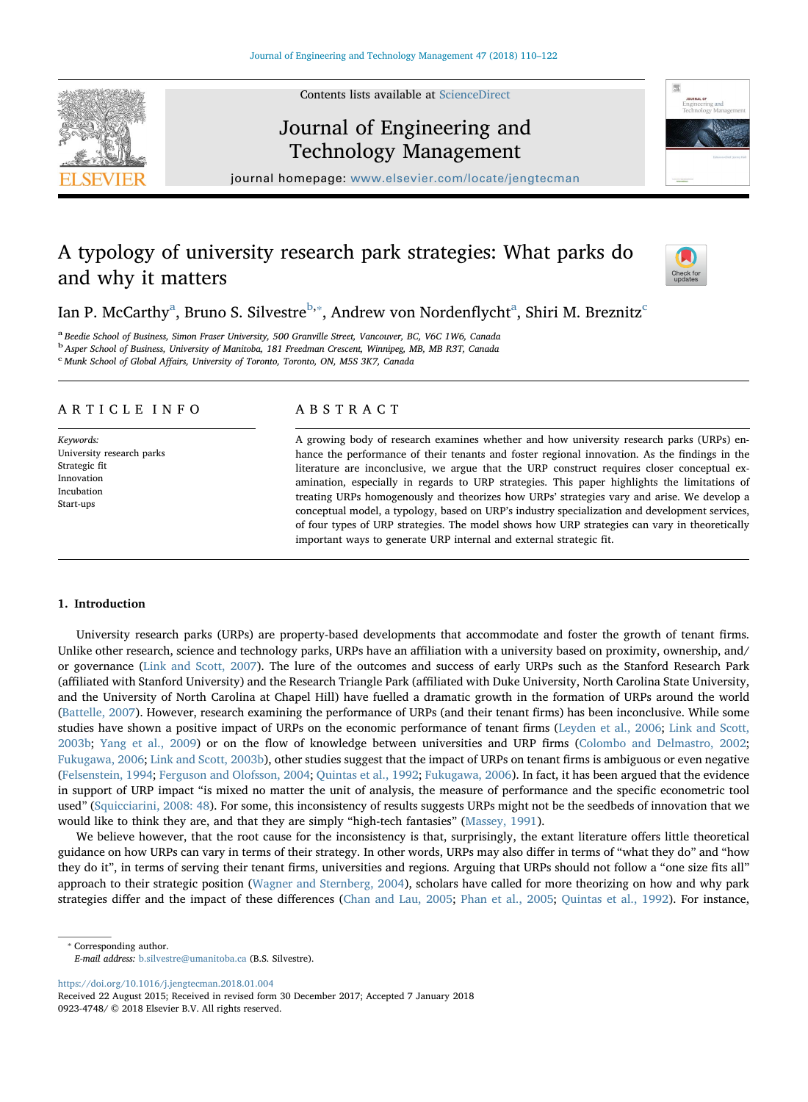

Contents lists available at [ScienceDirect](http://www.sciencedirect.com/science/journal/09234748)

# Journal of Engineering and Technology Management



journal homepage: [www.elsevier.com/locate/jengtecman](https://www.elsevier.com/locate/jengtecman)

# A typology of university research park strategies: What parks do and why it matters



# I[a](#page-0-0)n P. McCarthy<sup>a</sup>, Bruno S. Silvestre<sup>[b](#page-0-1),</sup>\*, Andrew von Nordenfly[c](#page-0-3)ht<sup>a</sup>, Shiri M. Breznitz<sup>c</sup>

<span id="page-0-0"></span><sup>a</sup> Beedie School of Business, Simon Fraser University, 500 Granville Street, Vancouver, BC, V6C 1W6, Canada

<span id="page-0-1"></span><sup>b</sup> Asper School of Business, University of Manitoba, 181 Freedman Crescent, Winnipeg, MB, MB R3T, Canada

<span id="page-0-3"></span>c Munk School of Global Affairs, University of Toronto, Toronto, ON, M5S 3K7, Canada

# ARTICLE INFO

Keywords: University research parks Strategic fit Innovation Incubation Start-ups

# ABSTRACT

A growing body of research examines whether and how university research parks (URPs) enhance the performance of their tenants and foster regional innovation. As the findings in the literature are inconclusive, we argue that the URP construct requires closer conceptual examination, especially in regards to URP strategies. This paper highlights the limitations of treating URPs homogenously and theorizes how URPs' strategies vary and arise. We develop a conceptual model, a typology, based on URP's industry specialization and development services, of four types of URP strategies. The model shows how URP strategies can vary in theoretically important ways to generate URP internal and external strategic fit.

## 1. Introduction

University research parks (URPs) are property-based developments that accommodate and foster the growth of tenant firms. Unlike other research, science and technology parks, URPs have an affiliation with a university based on proximity, ownership, and/ or governance ([Link and Scott, 2007](#page-12-0)). The lure of the outcomes and success of early URPs such as the Stanford Research Park (affiliated with Stanford University) and the Research Triangle Park (affiliated with Duke University, North Carolina State University, and the University of North Carolina at Chapel Hill) have fuelled a dramatic growth in the formation of URPs around the world ([Battelle, 2007](#page-11-0)). However, research examining the performance of URPs (and their tenant firms) has been inconclusive. While some studies have shown a positive impact of URPs on the economic performance of tenant firms ([Leyden et al., 2006;](#page-11-1) [Link and Scott,](#page-12-1) [2003b](#page-12-1); [Yang et al., 2009](#page-12-2)) or on the flow of knowledge between universities and URP firms [\(Colombo and Delmastro, 2002;](#page-11-2) [Fukugawa, 2006](#page-11-3); [Link and Scott, 2003b\)](#page-12-1), other studies suggest that the impact of URPs on tenant firms is ambiguous or even negative ([Felsenstein, 1994](#page-11-4); [Ferguson and Olofsson, 2004](#page-11-5); [Quintas et al., 1992](#page-12-3); [Fukugawa, 2006\)](#page-11-3). In fact, it has been argued that the evidence in support of URP impact "is mixed no matter the unit of analysis, the measure of performance and the specific econometric tool used" ([Squicciarini, 2008: 48](#page-12-4)). For some, this inconsistency of results suggests URPs might not be the seedbeds of innovation that we would like to think they are, and that they are simply "high-tech fantasies" ([Massey, 1991](#page-12-5)).

We believe however, that the root cause for the inconsistency is that, surprisingly, the extant literature offers little theoretical guidance on how URPs can vary in terms of their strategy. In other words, URPs may also differ in terms of "what they do" and "how they do it", in terms of serving their tenant firms, universities and regions. Arguing that URPs should not follow a "one size fits all" approach to their strategic position [\(Wagner and Sternberg, 2004\)](#page-12-6), scholars have called for more theorizing on how and why park strategies differ and the impact of these differences ([Chan and Lau, 2005](#page-11-6); [Phan et al., 2005](#page-12-7); Quintas [et al., 1992\)](#page-12-3). For instance,

<span id="page-0-2"></span>⁎ Corresponding author.

<https://doi.org/10.1016/j.jengtecman.2018.01.004>

Received 22 August 2015; Received in revised form 30 December 2017; Accepted 7 January 2018 0923-4748/ © 2018 Elsevier B.V. All rights reserved.

E-mail address: [b.silvestre@umanitoba.ca](mailto:b.silvestre@umanitoba.ca) (B.S. Silvestre).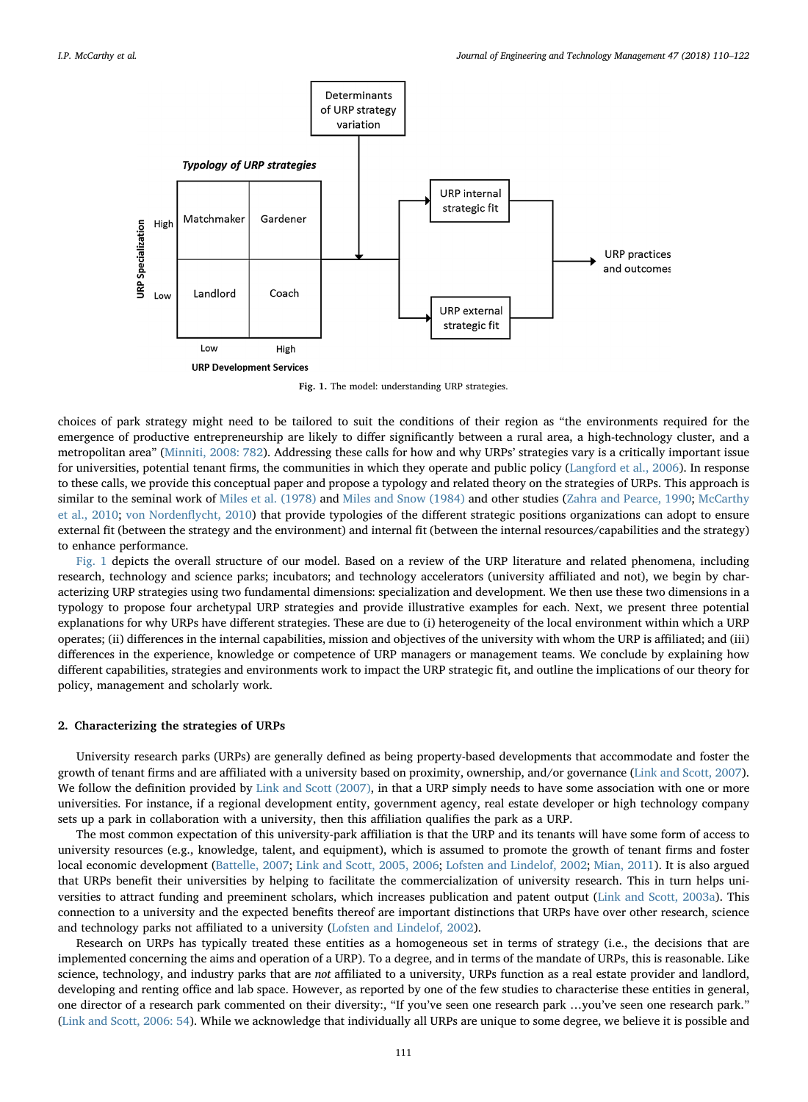<span id="page-1-0"></span>

Fig. 1. The model: understanding URP strategies.

choices of park strategy might need to be tailored to suit the conditions of their region as "the environments required for the emergence of productive entrepreneurship are likely to differ significantly between a rural area, a high-technology cluster, and a metropolitan area" ([Minniti, 2008: 782](#page-12-8)). Addressing these calls for how and why URPs' strategies vary is a critically important issue for universities, potential tenant firms, the communities in which they operate and public policy ([Langford et al., 2006\)](#page-11-7). In response to these calls, we provide this conceptual paper and propose a typology and related theory on the strategies of URPs. This approach is similar to the seminal work of [Miles et al. \(1978\)](#page-12-9) and [Miles and Snow \(1984\)](#page-12-10) and other studies [\(Zahra and Pearce, 1990](#page-12-11); [McCarthy](#page-12-12) [et al., 2010;](#page-12-12) [von Norden](#page-12-13)flycht, 2010) that provide typologies of the different strategic positions organizations can adopt to ensure external fit (between the strategy and the environment) and internal fit (between the internal resources/capabilities and the strategy) to enhance performance.

[Fig. 1](#page-1-0) depicts the overall structure of our model. Based on a review of the URP literature and related phenomena, including research, technology and science parks; incubators; and technology accelerators (university affiliated and not), we begin by characterizing URP strategies using two fundamental dimensions: specialization and development. We then use these two dimensions in a typology to propose four archetypal URP strategies and provide illustrative examples for each. Next, we present three potential explanations for why URPs have different strategies. These are due to (i) heterogeneity of the local environment within which a URP operates; (ii) differences in the internal capabilities, mission and objectives of the university with whom the URP is affiliated; and (iii) differences in the experience, knowledge or competence of URP managers or management teams. We conclude by explaining how different capabilities, strategies and environments work to impact the URP strategic fit, and outline the implications of our theory for policy, management and scholarly work.

### 2. Characterizing the strategies of URPs

University research parks (URPs) are generally defined as being property-based developments that accommodate and foster the growth of tenant firms and are affiliated with a university based on proximity, ownership, and/or governance ([Link and Scott, 2007](#page-12-0)). We follow the definition provided by [Link and Scott \(2007\)](#page-12-0), in that a URP simply needs to have some association with one or more universities. For instance, if a regional development entity, government agency, real estate developer or high technology company sets up a park in collaboration with a university, then this affiliation qualifies the park as a URP.

The most common expectation of this university-park affiliation is that the URP and its tenants will have some form of access to university resources (e.g., knowledge, talent, and equipment), which is assumed to promote the growth of tenant firms and foster local economic development ([Battelle, 2007;](#page-11-0) [Link and Scott, 2005, 2006](#page-12-14); [Lofsten and Lindelof, 2002;](#page-12-15) [Mian,](#page-12-16) 2011). It is also argued that URPs benefit their universities by helping to facilitate the commercialization of university research. This in turn helps universities to attract funding and preeminent scholars, which increases publication and patent output ([Link and Scott, 2003a](#page-11-8)). This connection to a university and the expected benefits thereof are important distinctions that URPs have over other research, science and technology parks not affiliated to a university ([Lofsten and Lindelof, 2002](#page-12-15)).

Research on URPs has typically treated these entities as a homogeneous set in terms of strategy (i.e., the decisions that are implemented concerning the aims and operation of a URP). To a degree, and in terms of the mandate of URPs, this is reasonable. Like science, technology, and industry parks that are not affiliated to a university, URPs function as a real estate provider and landlord, developing and renting office and lab space. However, as reported by one of the few studies to characterise these entities in general, one director of a research park commented on their diversity:, "If you've seen one research park …you've seen one research park." ([Link and Scott, 2006: 54\)](#page-12-17). While we acknowledge that individually all URPs are unique to some degree, we believe it is possible and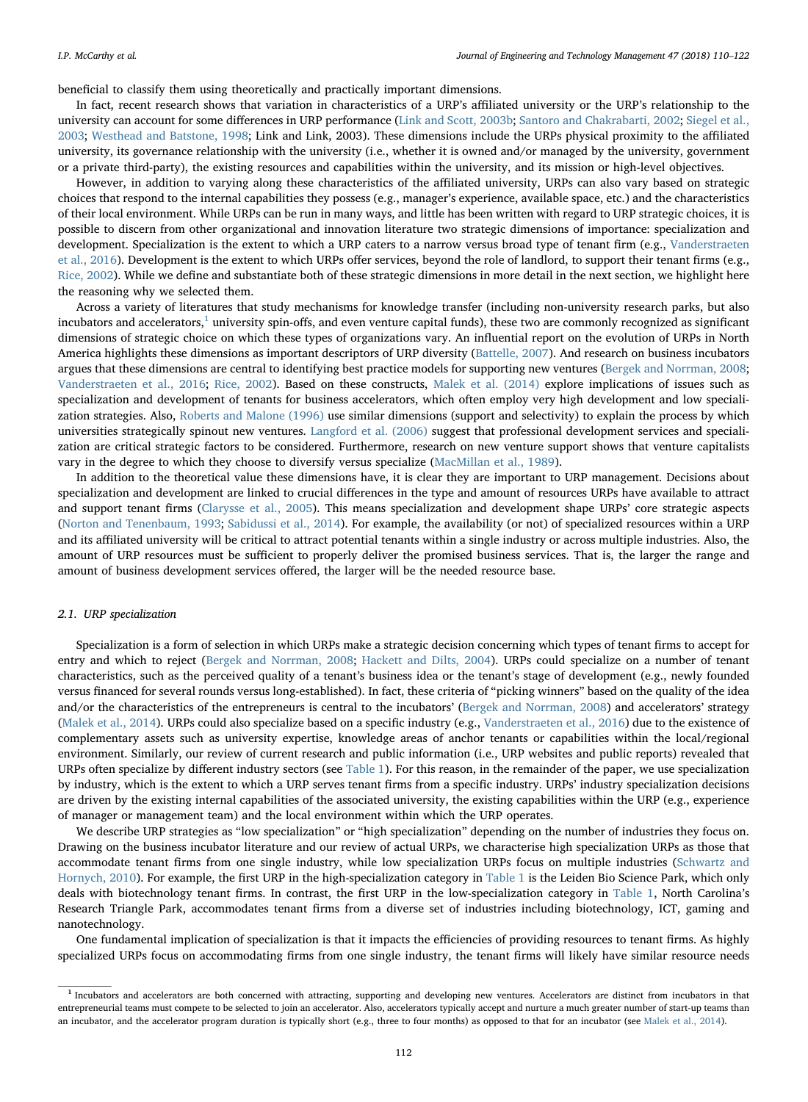beneficial to classify them using theoretically and practically important dimensions.

In fact, recent research shows that variation in characteristics of a URP's affiliated university or the URP's relationship to the university can account for some differences in URP performance ([Link and Scott, 2003b;](#page-12-1) [Santoro and Chakrabarti, 2002](#page-12-18); [Siegel et al.,](#page-12-19) [2003;](#page-12-19) [Westhead and Batstone, 1998](#page-12-20); Link and Link, 2003). These dimensions include the URPs physical proximity to the affiliated university, its governance relationship with the university (i.e., whether it is owned and/or managed by the university, government or a private third-party), the existing resources and capabilities within the university, and its mission or high-level objectives.

However, in addition to varying along these characteristics of the affiliated university, URPs can also vary based on strategic choices that respond to the internal capabilities they possess (e.g., manager's experience, available space, etc.) and the characteristics of their local environment. While URPs can be run in many ways, and little has been written with regard to URP strategic choices, it is possible to discern from other organizational and innovation literature two strategic dimensions of importance: specialization and development. Specialization is the extent to which a URP caters to a narrow versus broad type of tenant firm (e.g., [Vanderstraeten](#page-12-21) [et al., 2016\)](#page-12-21). Development is the extent to which URPs offer services, beyond the role of landlord, to support their tenant firms (e.g., [Rice, 2002](#page-12-22)). While we define and substantiate both of these strategic dimensions in more detail in the next section, we highlight here the reasoning why we selected them.

Across a variety of literatures that study mechanisms for knowledge transfer (including non-university research parks, but also incubators and accelerators, $\frac{1}{1}$  $\frac{1}{1}$  $\frac{1}{1}$  university spin-offs, and even venture capital funds), these two are commonly recognized as significant dimensions of strategic choice on which these types of organizations vary. An influential report on the evolution of URPs in North America highlights these dimensions as important descriptors of URP diversity ([Battelle, 2007\)](#page-11-0). And research on business incubators argues that these dimensions are central to identifying best practice models for supporting new ventures ([Bergek and Norrman, 2008;](#page-11-9) [Vanderstraeten et al., 2016;](#page-12-21) [Rice, 2002](#page-12-22)). Based on these constructs, [Malek et al. \(2014\)](#page-12-23) explore implications of issues such as specialization and development of tenants for business accelerators, which often employ very high development and low specialization strategies. Also, [Roberts and Malone \(1996\)](#page-12-24) use similar dimensions (support and selectivity) to explain the process by which universities strategically spinout new ventures. [Langford et al. \(2006\)](#page-11-7) suggest that professional development services and specialization are critical strategic factors to be considered. Furthermore, research on new venture support shows that venture capitalists vary in the degree to which they choose to diversify versus specialize ([MacMillan et al., 1989\)](#page-12-25).

In addition to the theoretical value these dimensions have, it is clear they are important to URP management. Decisions about specialization and development are linked to crucial differences in the type and amount of resources URPs have available to attract and support tenant firms ([Clarysse et al., 2005\)](#page-11-10). This means specialization and development shape URPs' core strategic aspects ([Norton and Tenenbaum, 1993;](#page-12-26) [Sabidussi et al., 2014](#page-12-27)). For example, the availability (or not) of specialized resources within a URP and its affiliated university will be critical to attract potential tenants within a single industry or across multiple industries. Also, the amount of URP resources must be sufficient to properly deliver the promised business services. That is, the larger the range and amount of business development services offered, the larger will be the needed resource base.

#### 2.1. URP specialization

Specialization is a form of selection in which URPs make a strategic decision concerning which types of tenant firms to accept for entry and which to reject ([Bergek and Norrman, 2008](#page-11-9); [Hackett and Dilts, 2004\)](#page-11-11). URPs could specialize on a number of tenant characteristics, such as the perceived quality of a tenant's business idea or the tenant's stage of development (e.g., newly founded versus financed for several rounds versus long-established). In fact, these criteria of "picking winners" based on the quality of the idea and/or the characteristics of the entrepreneurs is central to the incubators' ([Bergek and Norrman, 2008\)](#page-11-9) and accelerators' strategy ([Malek et al., 2014](#page-12-23)). URPs could also specialize based on a specific industry (e.g., [Vanderstraeten et al., 2016](#page-12-21)) due to the existence of complementary assets such as university expertise, knowledge areas of anchor tenants or capabilities within the local/regional environment. Similarly, our review of current research and public information (i.e., URP websites and public reports) revealed that URPs often specialize by different industry sectors (see [Table 1](#page-3-0)). For this reason, in the remainder of the paper, we use specialization by industry, which is the extent to which a URP serves tenant firms from a specific industry. URPs' industry specialization decisions are driven by the existing internal capabilities of the associated university, the existing capabilities within the URP (e.g., experience of manager or management team) and the local environment within which the URP operates.

We describe URP strategies as "low specialization" or "high specialization" depending on the number of industries they focus on. Drawing on the business incubator literature and our review of actual URPs, we characterise high specialization URPs as those that accommodate tenant firms from one single industry, while low specialization URPs focus on multiple industries [\(Schwartz and](#page-12-28) [Hornych, 2010\)](#page-12-28). For example, the first URP in the high-specialization category in [Table 1](#page-3-0) is the Leiden Bio Science Park, which only deals with biotechnology tenant firms. In contrast, the first URP in the low-specialization category in [Table 1,](#page-3-0) North Carolina's Research Triangle Park, accommodates tenant firms from a diverse set of industries including biotechnology, ICT, gaming and nanotechnology.

One fundamental implication of specialization is that it impacts the efficiencies of providing resources to tenant firms. As highly specialized URPs focus on accommodating firms from one single industry, the tenant firms will likely have similar resource needs

<span id="page-2-0"></span><sup>&</sup>lt;sup>1</sup> Incubators and accelerators are both concerned with attracting, supporting and developing new ventures. Accelerators are distinct from incubators in that entrepreneurial teams must compete to be selected to join an accelerator. Also, accelerators typically accept and nurture a much greater number of start-up teams than an incubator, and the accelerator program duration is typically short (e.g., three to four months) as opposed to that for an incubator (see [Malek et al., 2014](#page-12-23)).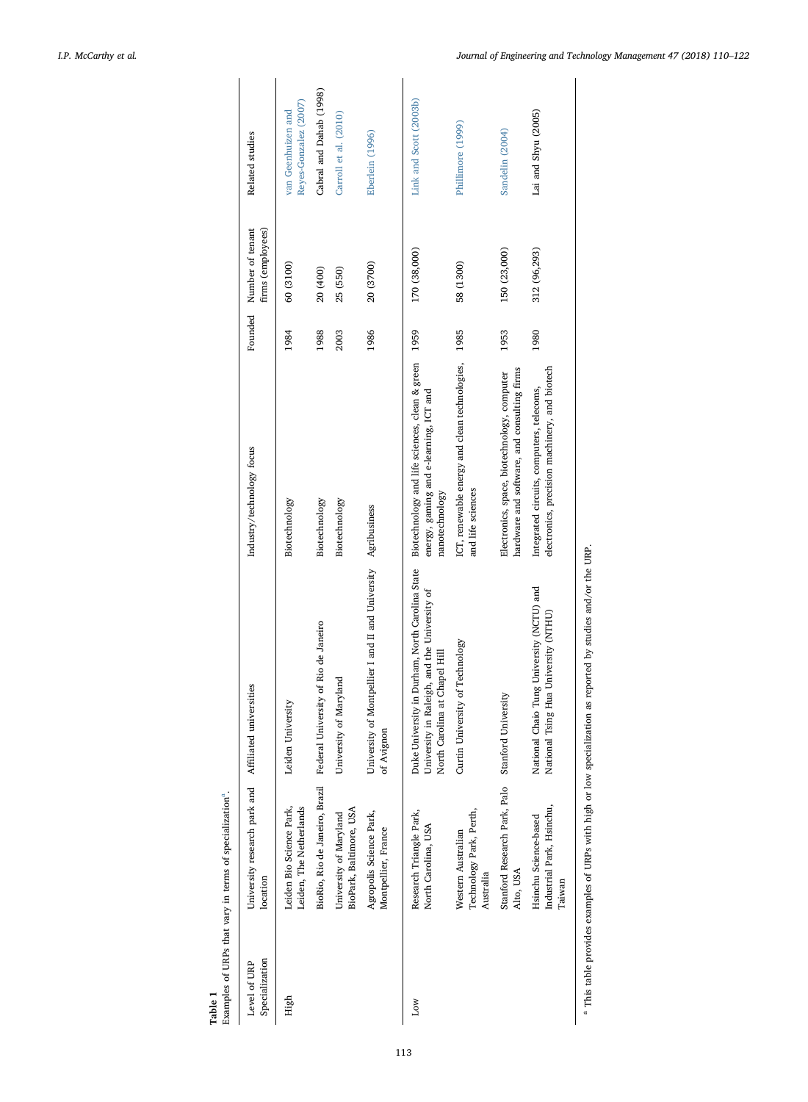<span id="page-3-1"></span><span id="page-3-0"></span>

| Table 1                        | Examples of URPs that vary in terms of specialization <sup>2</sup> . |                                                                                                                                  |                                                                                                            |         |                                       |                                             |
|--------------------------------|----------------------------------------------------------------------|----------------------------------------------------------------------------------------------------------------------------------|------------------------------------------------------------------------------------------------------------|---------|---------------------------------------|---------------------------------------------|
| Specialization<br>Level of URP | University research park and<br>location                             | universities<br>Affiliated                                                                                                       | Industry/technology focus                                                                                  | Founded | Number of tenant<br>firms (employees) | Related studies                             |
| High                           | Leiden, The Netherlands<br>Leiden Bio Science Park,                  | Leiden University                                                                                                                | Biotechnology                                                                                              | 1984    | 60 (3100)                             | Reyes-Gonzalez (2007)<br>van Geenhuizen and |
|                                |                                                                      | BioRio, Rio de Janeiro, Brazil Federal University of Rio de Janeiro                                                              | Biotechnology                                                                                              | 1988    | 20 (400)                              | Cabral and Dahab (1998)                     |
|                                | BioPark, Baltimore, USA<br>University of Maryland                    | University of Maryland                                                                                                           | Biotechnology                                                                                              | 2003    | 25 (550)                              | Carroll et al. (2010)                       |
|                                | Agropolis Science Park,<br>Montpellier, France                       | University of Montpellier I and II and University Agribusiness<br>of Avignon                                                     |                                                                                                            | 1986    | 20 (3700)                             | Eberlein (1996)                             |
| Low                            | Research Triangle Park,<br>North Carolina, USA                       | Duke University in Durham, North Carolina State<br>University in Raleigh, and the University of<br>North Carolina at Chapel Hill | Biotechnology and life sciences, clean & green<br>energy, gaming and e-learning, ICT and<br>nanotechnology | 1959    | 170 (38,000)                          | Link and Scott (2003b)                      |
|                                | Technology Park, Perth,<br>Western Australian<br>Australia           | Curtin University of Technology                                                                                                  | ICT, renewable energy and clean technologies,<br>and life sciences                                         | 1985    | 58 (1300)                             | Phillimore (1999)                           |
|                                | Stanford Research Park, Palo Stanford<br>Alto, USA                   | University                                                                                                                       | hardware and software, and consulting firms<br>Electronics, space, biotechnology, computer                 | 1953    | 150 (23,000)                          | Sandelin (2004)                             |
|                                | Industrial Park, Hsinchu,<br>Hsinchu Science-based<br>Taiwan         | Chaio Tung University (NCTU) and<br>Tsing Hua University (NTHU)<br>National<br>National                                          | electronics, precision machinery, and biotech<br>Integrated circuits, computers, telecoms,                 | 1980    | 312 (96,293)                          | Lai and Shyu (2005)                         |
|                                |                                                                      | <sup>a</sup> This table provides examples of URPs with high or low specialization as reported by studies and/or the URP.         |                                                                                                            |         |                                       |                                             |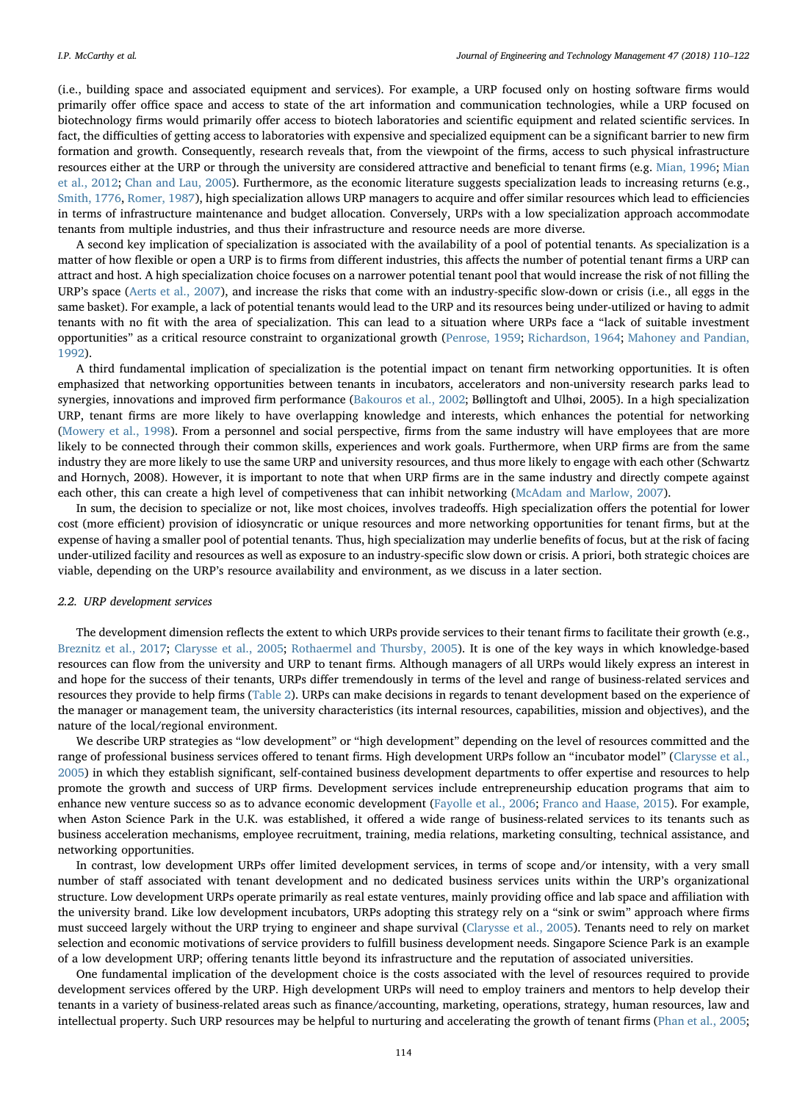(i.e., building space and associated equipment and services). For example, a URP focused only on hosting software firms would primarily offer office space and access to state of the art information and communication technologies, while a URP focused on biotechnology firms would primarily offer access to biotech laboratories and scientific equipment and related scientific services. In fact, the difficulties of getting access to laboratories with expensive and specialized equipment can be a significant barrier to new firm formation and growth. Consequently, research reveals that, from the viewpoint of the firms, access to such physical infrastructure resources either at the URP or through the university are considered attractive and beneficial to tenant firms (e.g. [Mian, 1996;](#page-12-32) [Mian](#page-12-33) [et al., 2012;](#page-12-33) [Chan and Lau, 2005](#page-11-6)). Furthermore, as the economic literature suggests specialization leads to increasing returns (e.g., [Smith, 1776,](#page-12-34) [Romer, 1987\)](#page-12-35), high specialization allows URP managers to acquire and offer similar resources which lead to efficiencies in terms of infrastructure maintenance and budget allocation. Conversely, URPs with a low specialization approach accommodate tenants from multiple industries, and thus their infrastructure and resource needs are more diverse.

A second key implication of specialization is associated with the availability of a pool of potential tenants. As specialization is a matter of how flexible or open a URP is to firms from different industries, this affects the number of potential tenant firms a URP can attract and host. A high specialization choice focuses on a narrower potential tenant pool that would increase the risk of not filling the URP's space [\(Aerts et al., 2007\)](#page-11-14), and increase the risks that come with an industry-specific slow-down or crisis (i.e., all eggs in the same basket). For example, a lack of potential tenants would lead to the URP and its resources being under-utilized or having to admit tenants with no fit with the area of specialization. This can lead to a situation where URPs face a "lack of suitable investment opportunities" as a critical resource constraint to organizational growth ([Penrose, 1959](#page-12-36); [Richardson, 1964](#page-12-37); [Mahoney and Pandian,](#page-12-38) [1992\)](#page-12-38).

A third fundamental implication of specialization is the potential impact on tenant firm networking opportunities. It is often emphasized that networking opportunities between tenants in incubators, accelerators and non-university research parks lead to synergies, innovations and improved firm performance [\(Bakouros et al., 2002;](#page-11-15) Bøllingtoft and Ulhøi, 2005). In a high specialization URP, tenant firms are more likely to have overlapping knowledge and interests, which enhances the potential for networking ([Mowery et al., 1998\)](#page-12-39). From a personnel and social perspective, firms from the same industry will have employees that are more likely to be connected through their common skills, experiences and work goals. Furthermore, when URP firms are from the same industry they are more likely to use the same URP and university resources, and thus more likely to engage with each other (Schwartz and Hornych, 2008). However, it is important to note that when URP firms are in the same industry and directly compete against each other, this can create a high level of competiveness that can inhibit networking ([McAdam and Marlow, 2007](#page-12-40)).

In sum, the decision to specialize or not, like most choices, involves tradeoffs. High specialization offers the potential for lower cost (more efficient) provision of idiosyncratic or unique resources and more networking opportunities for tenant firms, but at the expense of having a smaller pool of potential tenants. Thus, high specialization may underlie benefits of focus, but at the risk of facing under-utilized facility and resources as well as exposure to an industry-specific slow down or crisis. A priori, both strategic choices are viable, depending on the URP's resource availability and environment, as we discuss in a later section.

#### 2.2. URP development services

The development dimension reflects the extent to which URPs provide services to their tenant firms to facilitate their growth (e.g., [Breznitz et al., 2017](#page-11-16); [Clarysse et al., 2005](#page-11-10); [Rothaermel and Thursby, 2005\)](#page-12-41). It is one of the key ways in which knowledge-based resources can flow from the university and URP to tenant firms. Although managers of all URPs would likely express an interest in and hope for the success of their tenants, URPs differ tremendously in terms of the level and range of business-related services and resources they provide to help firms [\(Table 2](#page-5-0)). URPs can make decisions in regards to tenant development based on the experience of the manager or management team, the university characteristics (its internal resources, capabilities, mission and objectives), and the nature of the local/regional environment.

We describe URP strategies as "low development" or "high development" depending on the level of resources committed and the range of professional business services offered to tenant firms. High development URPs follow an "incubator model" [\(Clarysse et al.,](#page-11-10) [2005\)](#page-11-10) in which they establish significant, self-contained business development departments to offer expertise and resources to help promote the growth and success of URP firms. Development services include entrepreneurship education programs that aim to enhance new venture success so as to advance economic development ([Fayolle et al., 2006](#page-11-17); [Franco and Haase, 2015\)](#page-11-18). For example, when Aston Science Park in the U.K. was established, it offered a wide range of business-related services to its tenants such as business acceleration mechanisms, employee recruitment, training, media relations, marketing consulting, technical assistance, and networking opportunities.

In contrast, low development URPs offer limited development services, in terms of scope and/or intensity, with a very small number of staff associated with tenant development and no dedicated business services units within the URP's organizational structure. Low development URPs operate primarily as real estate ventures, mainly providing office and lab space and affiliation with the university brand. Like low development incubators, URPs adopting this strategy rely on a "sink or swim" approach where firms must succeed largely without the URP trying to engineer and shape survival ([Clarysse et al., 2005](#page-11-10)). Tenants need to rely on market selection and economic motivations of service providers to fulfill business development needs. Singapore Science Park is an example of a low development URP; offering tenants little beyond its infrastructure and the reputation of associated universities.

One fundamental implication of the development choice is the costs associated with the level of resources required to provide development services offered by the URP. High development URPs will need to employ trainers and mentors to help develop their tenants in a variety of business-related areas such as finance/accounting, marketing, operations, strategy, human resources, law and intellectual property. Such URP resources may be helpful to nurturing and accelerating the growth of tenant firms ([Phan et al., 2005;](#page-12-7)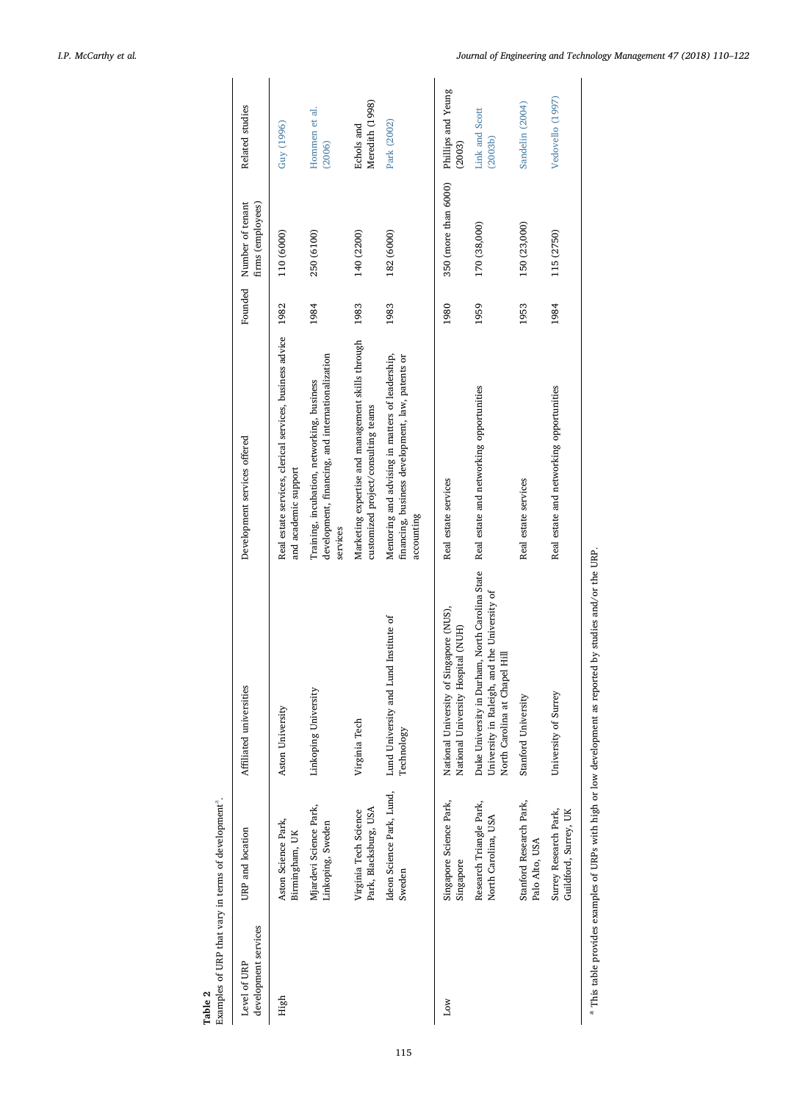<span id="page-5-1"></span><span id="page-5-0"></span>

| Table 2                              | Examples of URP that vary in terms of development <sup>a</sup> . |                                                                                                                                  |                                                                                                                    |         |                                       |                               |
|--------------------------------------|------------------------------------------------------------------|----------------------------------------------------------------------------------------------------------------------------------|--------------------------------------------------------------------------------------------------------------------|---------|---------------------------------------|-------------------------------|
| development services<br>Level of URP | URP and location                                                 | Affiliated universities                                                                                                          | Development services offered                                                                                       | Founded | firms (employees)<br>Number of tenant | Related studies               |
| High                                 | Aston Science Park,<br>Birmingham, UK                            | Aston University                                                                                                                 | Real estate services, clerical services, business advice<br>and academic support                                   | 1982    | 110 (6000)                            | Guy (1996)                    |
|                                      | Mjardevi Science Park,<br>Linkoping, Sweden                      | Linkoping University                                                                                                             | development, financing, and internationalization<br>Training, incubation, networking, business<br>services         | 1984    | 250 (6100)                            | Hommen et al.<br>(2006)       |
|                                      | Park, Blacksburg, USA<br>Virginia Tech Science                   | Virginia Tech                                                                                                                    | Marketing expertise and management skills through<br>customized project/consulting teams                           | 1983    | 140 (2200)                            | Meredith (1998)<br>Echols and |
|                                      | Ideon Science Park, Lund,<br>Sweden                              | Lund University and Lund Institute of<br>Technology                                                                              | Mentoring and advising in matters of leadership,<br>financing, business development, law, patents or<br>accounting | 1983    | 182 (6000)                            | Park (2002)                   |
| Low                                  | Singapore Science Park,<br>Singapore                             | University of Singapore (NUS),<br>University Hospital (NUH)<br>National<br>National                                              | Real estate services                                                                                               | 1980    | 350 (more than 6000)                  | Phillips and Yeung<br>(2003)  |
|                                      | Research Triangle Park,<br>North Carolina, USA                   | Duke University in Durham, North Carolina State<br>University in Raleigh, and the University of<br>North Carolina at Chapel Hill | Real estate and networking opportunities                                                                           | 1959    | 170 (38,000)                          | Link and Scott<br>(2003b)     |
|                                      | Stanford Research Park,<br>Palo Alto, USA                        | Stanford University                                                                                                              | Real estate services                                                                                               | 1953    | 150 (23,000)                          | Sandelin (2004)               |
|                                      | Surrey Research Park,<br>Guildford, Surrey, UK                   | University of Surrey                                                                                                             | Real estate and networking opportunities                                                                           | 1984    | 115 (2750)                            | Vedovello (1997)              |
|                                      |                                                                  | <sup>a</sup> This table provides examples of URPs with high or low development as reported by studies and/or the URP.            |                                                                                                                    |         |                                       |                               |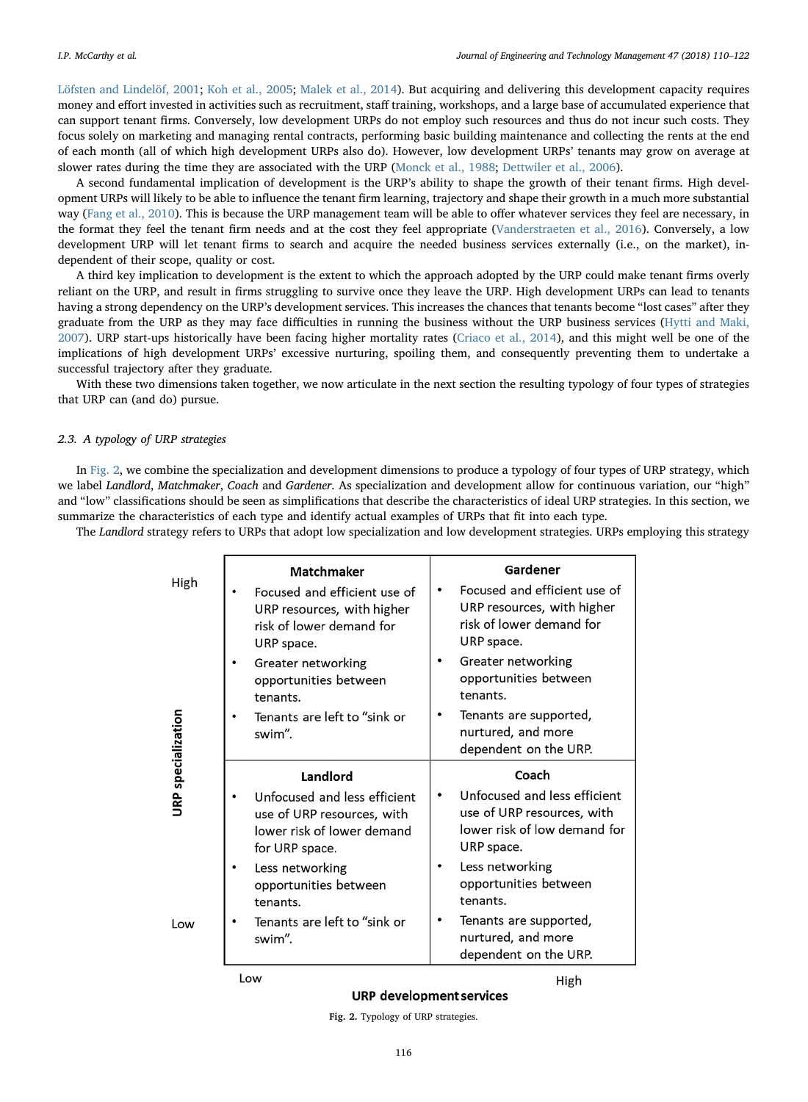[Löfsten and Lindelöf, 2001;](#page-11-21) [Koh et al., 2005](#page-11-22); [Malek et al., 2014\)](#page-12-23). But acquiring and delivering this development capacity requires money and effort invested in activities such as recruitment, staff training, workshops, and a large base of accumulated experience that can support tenant firms. Conversely, low development URPs do not employ such resources and thus do not incur such costs. They focus solely on marketing and managing rental contracts, performing basic building maintenance and collecting the rents at the end of each month (all of which high development URPs also do). However, low development URPs' tenants may grow on average at slower rates during the time they are associated with the URP ([Monck et al., 1988;](#page-12-44) [Dettwiler et al., 2006](#page-11-23)).

A second fundamental implication of development is the URP's ability to shape the growth of their tenant firms. High development URPs will likely to be able to influence the tenant firm learning, trajectory and shape their growth in a much more substantial way ([Fang et al., 2010\)](#page-11-24). This is because the URP management team will be able to offer whatever services they feel are necessary, in the format they feel the tenant firm needs and at the cost they feel appropriate [\(Vanderstraeten et al., 2016\)](#page-12-21). Conversely, a low development URP will let tenant firms to search and acquire the needed business services externally (i.e., on the market), independent of their scope, quality or cost.

A third key implication to development is the extent to which the approach adopted by the URP could make tenant firms overly reliant on the URP, and result in firms struggling to survive once they leave the URP. High development URPs can lead to tenants having a strong dependency on the URP's development services. This increases the chances that tenants become "lost cases" after they graduate from the URP as they may face difficulties in running the business without the URP business services [\(Hytti and Maki,](#page-11-25) [2007\)](#page-11-25). URP start-ups historically have been facing higher mortality rates [\(Criaco et al., 2014](#page-11-26)), and this might well be one of the implications of high development URPs' excessive nurturing, spoiling them, and consequently preventing them to undertake a successful trajectory after they graduate.

With these two dimensions taken together, we now articulate in the next section the resulting typology of four types of strategies that URP can (and do) pursue.

#### 2.3. A typology of URP strategies

In [Fig. 2,](#page-6-0) we combine the specialization and development dimensions to produce a typology of four types of URP strategy, which we label Landlord, Matchmaker, Coach and Gardener. As specialization and development allow for continuous variation, our "high" and "low" classifications should be seen as simplifications that describe the characteristics of ideal URP strategies. In this section, we summarize the characteristics of each type and identify actual examples of URPs that fit into each type.

<span id="page-6-0"></span>The Landlord strategy refers to URPs that adopt low specialization and low development strategies. URPs employing this strategy

|                    | <b>Matchmaker</b>                                                                                          |   | Gardener                                                                                                 |
|--------------------|------------------------------------------------------------------------------------------------------------|---|----------------------------------------------------------------------------------------------------------|
| High               | Focused and efficient use of<br>URP resources, with higher<br>risk of lower demand for<br>URP space.       | ٠ | Focused and efficient use of<br>URP resources, with higher<br>risk of lower demand for<br>URP space.     |
|                    | Greater networking<br>opportunities between<br>tenants.                                                    |   | Greater networking<br>opportunities between<br>tenants.                                                  |
| JRP specialization | Tenants are left to "sink or<br>swim".                                                                     | ٠ | Tenants are supported,<br>nurtured, and more<br>dependent on the URP.                                    |
|                    | Landlord                                                                                                   |   | Coach                                                                                                    |
|                    | Unfocused and less efficient<br>use of URP resources, with<br>lower risk of lower demand<br>for URP space. | ٠ | Unfocused and less efficient<br>use of URP resources, with<br>lower risk of low demand for<br>URP space. |
|                    | Less networking<br>opportunities between<br>tenants.                                                       | ٠ | Less networking<br>opportunities between<br>tenants.                                                     |
| Low                | Tenants are left to "sink or<br>swim".                                                                     |   | Tenants are supported,<br>nurtured, and more<br>dependent on the URP.                                    |

 $Infty$ 

High

### **URP development services**

Fig. 2. Typology of URP strategies.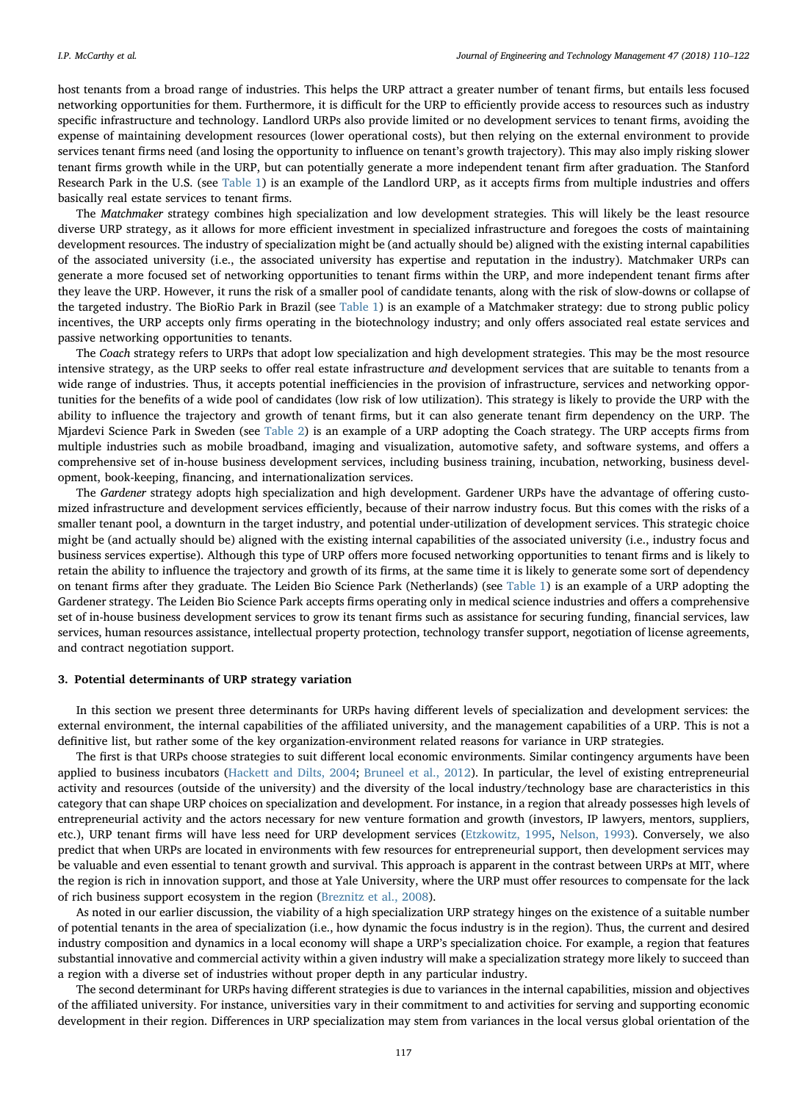host tenants from a broad range of industries. This helps the URP attract a greater number of tenant firms, but entails less focused networking opportunities for them. Furthermore, it is difficult for the URP to efficiently provide access to resources such as industry specific infrastructure and technology. Landlord URPs also provide limited or no development services to tenant firms, avoiding the expense of maintaining development resources (lower operational costs), but then relying on the external environment to provide services tenant firms need (and losing the opportunity to influence on tenant's growth trajectory). This may also imply risking slower tenant firms growth while in the URP, but can potentially generate a more independent tenant firm after graduation. The Stanford Research Park in the U.S. (see [Table 1\)](#page-3-0) is an example of the Landlord URP, as it accepts firms from multiple industries and offers basically real estate services to tenant firms.

The Matchmaker strategy combines high specialization and low development strategies. This will likely be the least resource diverse URP strategy, as it allows for more efficient investment in specialized infrastructure and foregoes the costs of maintaining development resources. The industry of specialization might be (and actually should be) aligned with the existing internal capabilities of the associated university (i.e., the associated university has expertise and reputation in the industry). Matchmaker URPs can generate a more focused set of networking opportunities to tenant firms within the URP, and more independent tenant firms after they leave the URP. However, it runs the risk of a smaller pool of candidate tenants, along with the risk of slow-downs or collapse of the targeted industry. The BioRio Park in Brazil (see [Table 1\)](#page-3-0) is an example of a Matchmaker strategy: due to strong public policy incentives, the URP accepts only firms operating in the biotechnology industry; and only offers associated real estate services and passive networking opportunities to tenants.

The Coach strategy refers to URPs that adopt low specialization and high development strategies. This may be the most resource intensive strategy, as the URP seeks to offer real estate infrastructure and development services that are suitable to tenants from a wide range of industries. Thus, it accepts potential inefficiencies in the provision of infrastructure, services and networking opportunities for the benefits of a wide pool of candidates (low risk of low utilization). This strategy is likely to provide the URP with the ability to influence the trajectory and growth of tenant firms, but it can also generate tenant firm dependency on the URP. The Mjardevi Science Park in Sweden (see [Table 2](#page-5-0)) is an example of a URP adopting the Coach strategy. The URP accepts firms from multiple industries such as mobile broadband, imaging and visualization, automotive safety, and software systems, and offers a comprehensive set of in-house business development services, including business training, incubation, networking, business development, book-keeping, financing, and internationalization services.

The Gardener strategy adopts high specialization and high development. Gardener URPs have the advantage of offering customized infrastructure and development services efficiently, because of their narrow industry focus. But this comes with the risks of a smaller tenant pool, a downturn in the target industry, and potential under-utilization of development services. This strategic choice might be (and actually should be) aligned with the existing internal capabilities of the associated university (i.e., industry focus and business services expertise). Although this type of URP offers more focused networking opportunities to tenant firms and is likely to retain the ability to influence the trajectory and growth of its firms, at the same time it is likely to generate some sort of dependency on tenant firms after they graduate. The Leiden Bio Science Park (Netherlands) (see [Table 1](#page-3-0)) is an example of a URP adopting the Gardener strategy. The Leiden Bio Science Park accepts firms operating only in medical science industries and offers a comprehensive set of in-house business development services to grow its tenant firms such as assistance for securing funding, financial services, law services, human resources assistance, intellectual property protection, technology transfer support, negotiation of license agreements, and contract negotiation support.

### 3. Potential determinants of URP strategy variation

In this section we present three determinants for URPs having different levels of specialization and development services: the external environment, the internal capabilities of the affiliated university, and the management capabilities of a URP. This is not a definitive list, but rather some of the key organization-environment related reasons for variance in URP strategies.

The first is that URPs choose strategies to suit different local economic environments. Similar contingency arguments have been applied to business incubators ([Hackett and Dilts, 2004](#page-11-11); [Bruneel et al., 2012](#page-11-27)). In particular, the level of existing entrepreneurial activity and resources (outside of the university) and the diversity of the local industry/technology base are characteristics in this category that can shape URP choices on specialization and development. For instance, in a region that already possesses high levels of entrepreneurial activity and the actors necessary for new venture formation and growth (investors, IP lawyers, mentors, suppliers, etc.), URP tenant firms will have less need for URP development services ([Etzkowitz, 1995,](#page-11-28) [Nelson, 1993](#page-12-45)). Conversely, we also predict that when URPs are located in environments with few resources for entrepreneurial support, then development services may be valuable and even essential to tenant growth and survival. This approach is apparent in the contrast between URPs at MIT, where the region is rich in innovation support, and those at Yale University, where the URP must offer resources to compensate for the lack of rich business support ecosystem in the region ([Breznitz et al., 2008\)](#page-11-29).

As noted in our earlier discussion, the viability of a high specialization URP strategy hinges on the existence of a suitable number of potential tenants in the area of specialization (i.e., how dynamic the focus industry is in the region). Thus, the current and desired industry composition and dynamics in a local economy will shape a URP's specialization choice. For example, a region that features substantial innovative and commercial activity within a given industry will make a specialization strategy more likely to succeed than a region with a diverse set of industries without proper depth in any particular industry.

The second determinant for URPs having different strategies is due to variances in the internal capabilities, mission and objectives of the affiliated university. For instance, universities vary in their commitment to and activities for serving and supporting economic development in their region. Differences in URP specialization may stem from variances in the local versus global orientation of the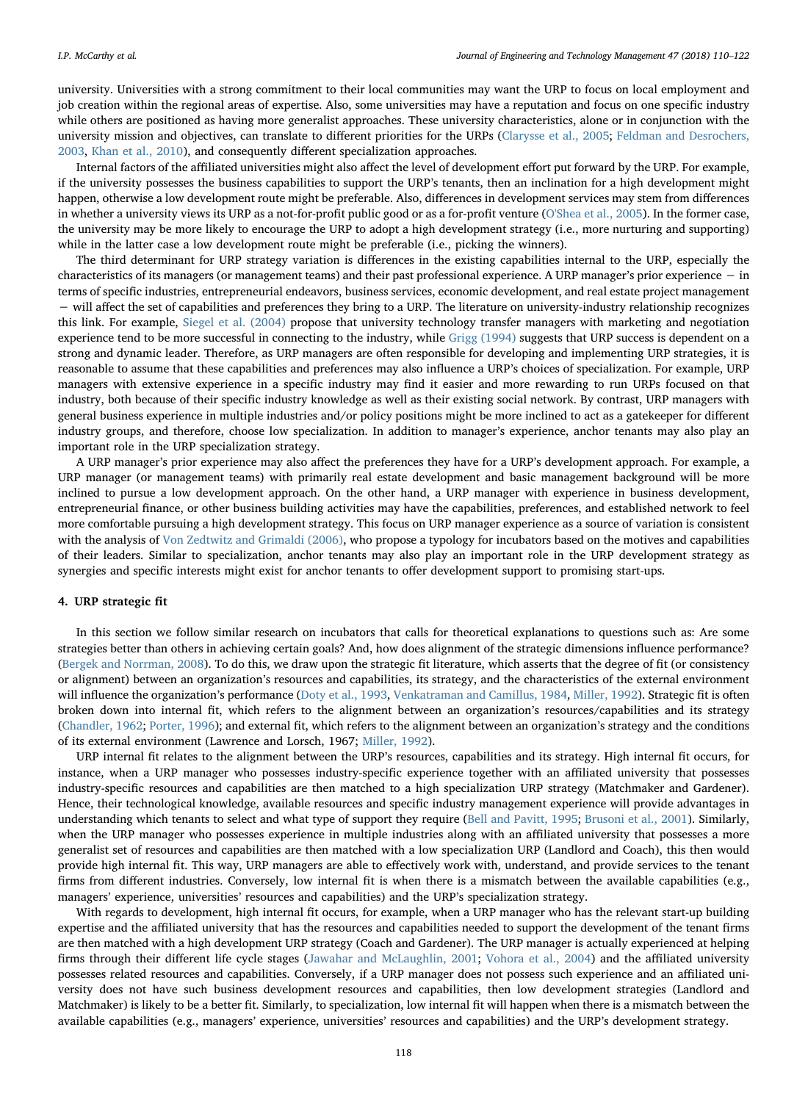university. Universities with a strong commitment to their local communities may want the URP to focus on local employment and job creation within the regional areas of expertise. Also, some universities may have a reputation and focus on one specific industry while others are positioned as having more generalist approaches. These university characteristics, alone or in conjunction with the university mission and objectives, can translate to different priorities for the URPs [\(Clarysse et al., 2005;](#page-11-10) [Feldman and Desrochers,](#page-11-30) [2003,](#page-11-30) [Khan et al., 2010](#page-11-31)), and consequently different specialization approaches.

Internal factors of the affiliated universities might also affect the level of development effort put forward by the URP. For example, if the university possesses the business capabilities to support the URP's tenants, then an inclination for a high development might happen, otherwise a low development route might be preferable. Also, differences in development services may stem from differences in whether a university views its URP as a not-for-profit public good or as a for-profit venture [\(O'Shea et al., 2005](#page-12-46)). In the former case, the university may be more likely to encourage the URP to adopt a high development strategy (i.e., more nurturing and supporting) while in the latter case a low development route might be preferable (i.e., picking the winners).

The third determinant for URP strategy variation is differences in the existing capabilities internal to the URP, especially the characteristics of its managers (or management teams) and their past professional experience. A URP manager's prior experience − in terms of specific industries, entrepreneurial endeavors, business services, economic development, and real estate project management − will affect the set of capabilities and preferences they bring to a URP. The literature on university-industry relationship recognizes this link. For example, [Siegel et al. \(2004\)](#page-12-47) propose that university technology transfer managers with marketing and negotiation experience tend to be more successful in connecting to the industry, while [Grigg \(1994\)](#page-11-32) suggests that URP success is dependent on a strong and dynamic leader. Therefore, as URP managers are often responsible for developing and implementing URP strategies, it is reasonable to assume that these capabilities and preferences may also influence a URP's choices of specialization. For example, URP managers with extensive experience in a specific industry may find it easier and more rewarding to run URPs focused on that industry, both because of their specific industry knowledge as well as their existing social network. By contrast, URP managers with general business experience in multiple industries and/or policy positions might be more inclined to act as a gatekeeper for different industry groups, and therefore, choose low specialization. In addition to manager's experience, anchor tenants may also play an important role in the URP specialization strategy.

A URP manager's prior experience may also affect the preferences they have for a URP's development approach. For example, a URP manager (or management teams) with primarily real estate development and basic management background will be more inclined to pursue a low development approach. On the other hand, a URP manager with experience in business development, entrepreneurial finance, or other business building activities may have the capabilities, preferences, and established network to feel more comfortable pursuing a high development strategy. This focus on URP manager experience as a source of variation is consistent with the analysis of [Von Zedtwitz and Grimaldi \(2006\)](#page-12-48), who propose a typology for incubators based on the motives and capabilities of their leaders. Similar to specialization, anchor tenants may also play an important role in the URP development strategy as synergies and specific interests might exist for anchor tenants to offer development support to promising start-ups.

# 4. URP strategic fit

In this section we follow similar research on incubators that calls for theoretical explanations to questions such as: Are some strategies better than others in achieving certain goals? And, how does alignment of the strategic dimensions influence performance? ([Bergek and Norrman, 2008](#page-11-9)). To do this, we draw upon the strategic fit literature, which asserts that the degree of fit (or consistency or alignment) between an organization's resources and capabilities, its strategy, and the characteristics of the external environment will influence the organization's performance ([Doty et al., 1993](#page-11-33), [Venkatraman and Camillus, 1984](#page-12-49), [Miller, 1992\)](#page-12-50). Strategic fit is often broken down into internal fit, which refers to the alignment between an organization's resources/capabilities and its strategy ([Chandler, 1962](#page-11-34); [Porter, 1996\)](#page-12-51); and external fit, which refers to the alignment between an organization's strategy and the conditions of its external environment (Lawrence and Lorsch, 1967; [Miller, 1992](#page-12-50)).

URP internal fit relates to the alignment between the URP's resources, capabilities and its strategy. High internal fit occurs, for instance, when a URP manager who possesses industry-specific experience together with an affiliated university that possesses industry-specific resources and capabilities are then matched to a high specialization URP strategy (Matchmaker and Gardener). Hence, their technological knowledge, available resources and specific industry management experience will provide advantages in understanding which tenants to select and what type of support they require [\(Bell and Pavitt, 1995;](#page-11-35) [Brusoni et al., 2001\)](#page-11-36). Similarly, when the URP manager who possesses experience in multiple industries along with an affiliated university that possesses a more generalist set of resources and capabilities are then matched with a low specialization URP (Landlord and Coach), this then would provide high internal fit. This way, URP managers are able to effectively work with, understand, and provide services to the tenant firms from different industries. Conversely, low internal fit is when there is a mismatch between the available capabilities (e.g., managers' experience, universities' resources and capabilities) and the URP's specialization strategy.

With regards to development, high internal fit occurs, for example, when a URP manager who has the relevant start-up building expertise and the affiliated university that has the resources and capabilities needed to support the development of the tenant firms are then matched with a high development URP strategy (Coach and Gardener). The URP manager is actually experienced at helping firms through their different life cycle stages ([Jawahar and McLaughlin, 2001](#page-11-37); [Vohora et al., 2004](#page-12-52)) and the affiliated university possesses related resources and capabilities. Conversely, if a URP manager does not possess such experience and an affiliated university does not have such business development resources and capabilities, then low development strategies (Landlord and Matchmaker) is likely to be a better fit. Similarly, to specialization, low internal fit will happen when there is a mismatch between the available capabilities (e.g., managers' experience, universities' resources and capabilities) and the URP's development strategy.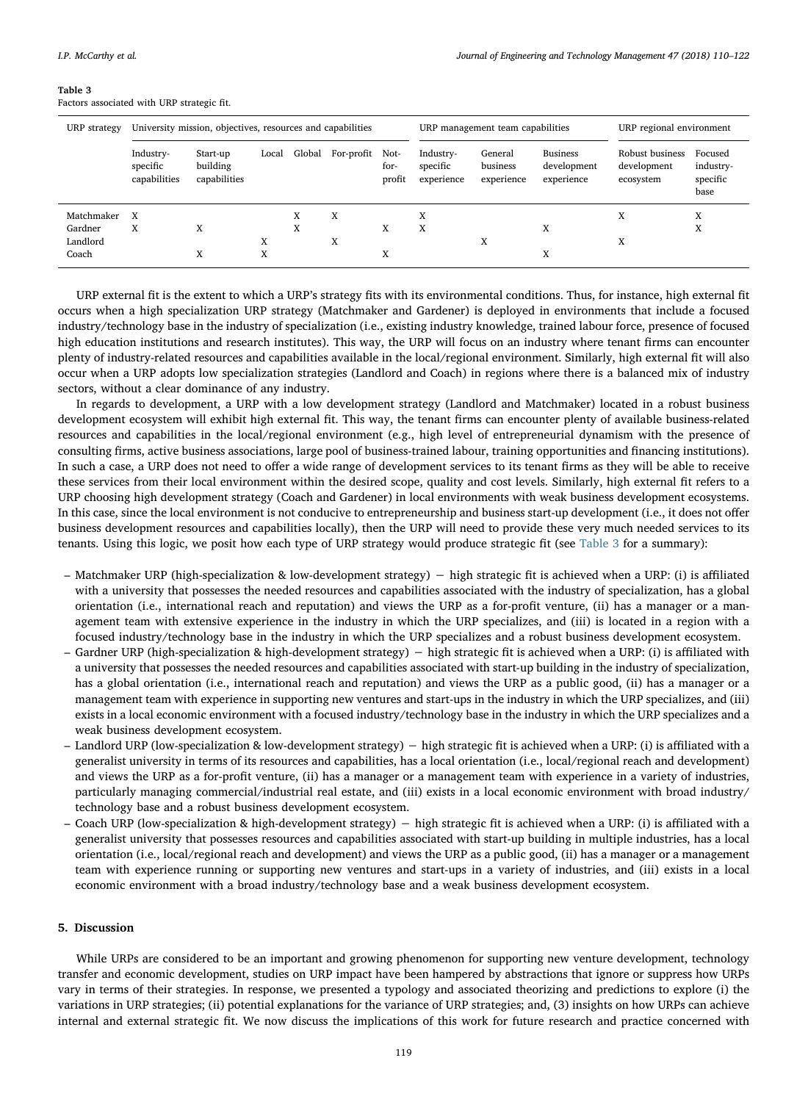#### <span id="page-9-0"></span>Table 3

|  | Factors associated with URP strategic fit. |  |  |  |  |
|--|--------------------------------------------|--|--|--|--|
|--|--------------------------------------------|--|--|--|--|

| URP strategy |                                       | University mission, objectives, resources and capabilities |       |        |            |                        | URP management team capabilities    |                                   |                                              | URP regional environment                    |                                          |
|--------------|---------------------------------------|------------------------------------------------------------|-------|--------|------------|------------------------|-------------------------------------|-----------------------------------|----------------------------------------------|---------------------------------------------|------------------------------------------|
|              | Industry-<br>specific<br>capabilities | Start-up<br>building<br>capabilities                       | Local | Global | For-profit | Not-<br>for-<br>profit | Industry-<br>specific<br>experience | General<br>business<br>experience | <b>Business</b><br>development<br>experience | Robust business<br>development<br>ecosystem | Focused<br>industry-<br>specific<br>base |
| Matchmaker   | X                                     |                                                            |       | X      | X          |                        | X                                   |                                   |                                              | X                                           | X                                        |
| Gardner      | X                                     | X                                                          |       | X      |            | X                      | X                                   |                                   | X                                            |                                             | X                                        |
| Landlord     |                                       |                                                            | X     |        | X          |                        |                                     | X                                 |                                              | X                                           |                                          |
| Coach        |                                       | X                                                          | X     |        |            | X                      |                                     |                                   | A                                            |                                             |                                          |

URP external fit is the extent to which a URP's strategy fits with its environmental conditions. Thus, for instance, high external fit occurs when a high specialization URP strategy (Matchmaker and Gardener) is deployed in environments that include a focused industry/technology base in the industry of specialization (i.e., existing industry knowledge, trained labour force, presence of focused high education institutions and research institutes). This way, the URP will focus on an industry where tenant firms can encounter plenty of industry-related resources and capabilities available in the local/regional environment. Similarly, high external fit will also occur when a URP adopts low specialization strategies (Landlord and Coach) in regions where there is a balanced mix of industry sectors, without a clear dominance of any industry.

In regards to development, a URP with a low development strategy (Landlord and Matchmaker) located in a robust business development ecosystem will exhibit high external fit. This way, the tenant firms can encounter plenty of available business-related resources and capabilities in the local/regional environment (e.g., high level of entrepreneurial dynamism with the presence of consulting firms, active business associations, large pool of business-trained labour, training opportunities and financing institutions). In such a case, a URP does not need to offer a wide range of development services to its tenant firms as they will be able to receive these services from their local environment within the desired scope, quality and cost levels. Similarly, high external fit refers to a URP choosing high development strategy (Coach and Gardener) in local environments with weak business development ecosystems. In this case, since the local environment is not conducive to entrepreneurship and business start-up development (i.e., it does not offer business development resources and capabilities locally), then the URP will need to provide these very much needed services to its tenants. Using this logic, we posit how each type of URP strategy would produce strategic fit (see [Table 3](#page-9-0) for a summary):

- Matchmaker URP (high-specialization & low-development strategy) − high strategic fit is achieved when a URP: (i) is affiliated with a university that possesses the needed resources and capabilities associated with the industry of specialization, has a global orientation (i.e., international reach and reputation) and views the URP as a for-profit venture, (ii) has a manager or a management team with extensive experience in the industry in which the URP specializes, and (iii) is located in a region with a focused industry/technology base in the industry in which the URP specializes and a robust business development ecosystem.
- Gardner URP (high-specialization & high-development strategy) − high strategic fit is achieved when a URP: (i) is affiliated with a university that possesses the needed resources and capabilities associated with start-up building in the industry of specialization, has a global orientation (i.e., international reach and reputation) and views the URP as a public good, (ii) has a manager or a management team with experience in supporting new ventures and start-ups in the industry in which the URP specializes, and (iii) exists in a local economic environment with a focused industry/technology base in the industry in which the URP specializes and a weak business development ecosystem.
- Landlord URP (low-specialization & low-development strategy) − high strategic fit is achieved when a URP: (i) is affiliated with a generalist university in terms of its resources and capabilities, has a local orientation (i.e., local/regional reach and development) and views the URP as a for-profit venture, (ii) has a manager or a management team with experience in a variety of industries, particularly managing commercial/industrial real estate, and (iii) exists in a local economic environment with broad industry/ technology base and a robust business development ecosystem.
- Coach URP (low-specialization & high-development strategy) − high strategic fit is achieved when a URP: (i) is affiliated with a generalist university that possesses resources and capabilities associated with start-up building in multiple industries, has a local orientation (i.e., local/regional reach and development) and views the URP as a public good, (ii) has a manager or a management team with experience running or supporting new ventures and start-ups in a variety of industries, and (iii) exists in a local economic environment with a broad industry/technology base and a weak business development ecosystem.

## 5. Discussion

While URPs are considered to be an important and growing phenomenon for supporting new venture development, technology transfer and economic development, studies on URP impact have been hampered by abstractions that ignore or suppress how URPs vary in terms of their strategies. In response, we presented a typology and associated theorizing and predictions to explore (i) the variations in URP strategies; (ii) potential explanations for the variance of URP strategies; and, (3) insights on how URPs can achieve internal and external strategic fit. We now discuss the implications of this work for future research and practice concerned with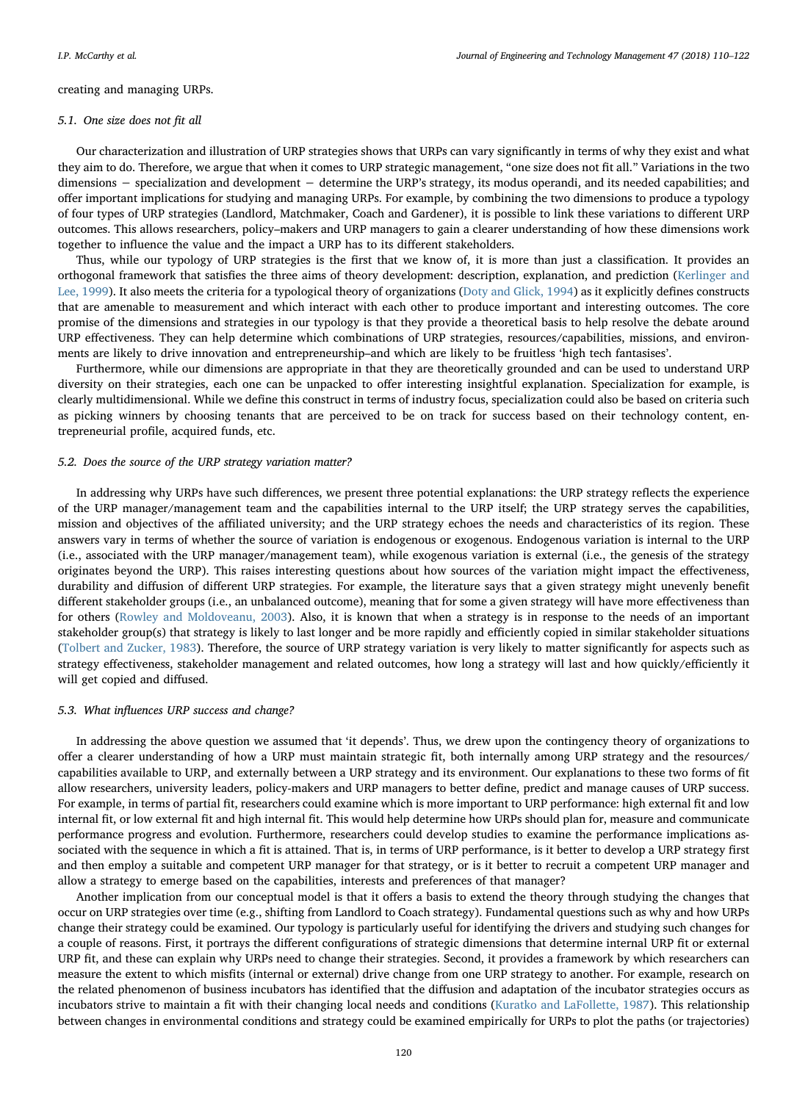creating and managing URPs.

#### 5.1. One size does not fit all

Our characterization and illustration of URP strategies shows that URPs can vary significantly in terms of why they exist and what they aim to do. Therefore, we argue that when it comes to URP strategic management, "one size does not fit all." Variations in the two dimensions − specialization and development − determine the URP's strategy, its modus operandi, and its needed capabilities; and offer important implications for studying and managing URPs. For example, by combining the two dimensions to produce a typology of four types of URP strategies (Landlord, Matchmaker, Coach and Gardener), it is possible to link these variations to different URP outcomes. This allows researchers, policy–makers and URP managers to gain a clearer understanding of how these dimensions work together to influence the value and the impact a URP has to its different stakeholders.

Thus, while our typology of URP strategies is the first that we know of, it is more than just a classification. It provides an orthogonal framework that satisfies the three aims of theory development: description, explanation, and prediction ([Kerlinger and](#page-11-38) [Lee, 1999](#page-11-38)). It also meets the criteria for a typological theory of organizations [\(Doty and Glick, 1994\)](#page-11-39) as it explicitly defines constructs that are amenable to measurement and which interact with each other to produce important and interesting outcomes. The core promise of the dimensions and strategies in our typology is that they provide a theoretical basis to help resolve the debate around URP effectiveness. They can help determine which combinations of URP strategies, resources/capabilities, missions, and environments are likely to drive innovation and entrepreneurship–and which are likely to be fruitless 'high tech fantasises'.

Furthermore, while our dimensions are appropriate in that they are theoretically grounded and can be used to understand URP diversity on their strategies, each one can be unpacked to offer interesting insightful explanation. Specialization for example, is clearly multidimensional. While we define this construct in terms of industry focus, specialization could also be based on criteria such as picking winners by choosing tenants that are perceived to be on track for success based on their technology content, entrepreneurial profile, acquired funds, etc.

#### 5.2. Does the source of the URP strategy variation matter?

In addressing why URPs have such differences, we present three potential explanations: the URP strategy reflects the experience of the URP manager/management team and the capabilities internal to the URP itself; the URP strategy serves the capabilities, mission and objectives of the affiliated university; and the URP strategy echoes the needs and characteristics of its region. These answers vary in terms of whether the source of variation is endogenous or exogenous. Endogenous variation is internal to the URP (i.e., associated with the URP manager/management team), while exogenous variation is external (i.e., the genesis of the strategy originates beyond the URP). This raises interesting questions about how sources of the variation might impact the effectiveness, durability and diffusion of different URP strategies. For example, the literature says that a given strategy might unevenly benefit different stakeholder groups (i.e., an unbalanced outcome), meaning that for some a given strategy will have more effectiveness than for others ([Rowley and Moldoveanu, 2003\)](#page-12-53). Also, it is known that when a strategy is in response to the needs of an important stakeholder group(s) that strategy is likely to last longer and be more rapidly and efficiently copied in similar stakeholder situations ([Tolbert and Zucker, 1983](#page-12-54)). Therefore, the source of URP strategy variation is very likely to matter significantly for aspects such as strategy effectiveness, stakeholder management and related outcomes, how long a strategy will last and how quickly/efficiently it will get copied and diffused.

#### 5.3. What influences URP success and change?

In addressing the above question we assumed that 'it depends'. Thus, we drew upon the contingency theory of organizations to offer a clearer understanding of how a URP must maintain strategic fit, both internally among URP strategy and the resources/ capabilities available to URP, and externally between a URP strategy and its environment. Our explanations to these two forms of fit allow researchers, university leaders, policy-makers and URP managers to better define, predict and manage causes of URP success. For example, in terms of partial fit, researchers could examine which is more important to URP performance: high external fit and low internal fit, or low external fit and high internal fit. This would help determine how URPs should plan for, measure and communicate performance progress and evolution. Furthermore, researchers could develop studies to examine the performance implications associated with the sequence in which a fit is attained. That is, in terms of URP performance, is it better to develop a URP strategy first and then employ a suitable and competent URP manager for that strategy, or is it better to recruit a competent URP manager and allow a strategy to emerge based on the capabilities, interests and preferences of that manager?

Another implication from our conceptual model is that it offers a basis to extend the theory through studying the changes that occur on URP strategies over time (e.g., shifting from Landlord to Coach strategy). Fundamental questions such as why and how URPs change their strategy could be examined. Our typology is particularly useful for identifying the drivers and studying such changes for a couple of reasons. First, it portrays the different configurations of strategic dimensions that determine internal URP fit or external URP fit, and these can explain why URPs need to change their strategies. Second, it provides a framework by which researchers can measure the extent to which misfits (internal or external) drive change from one URP strategy to another. For example, research on the related phenomenon of business incubators has identified that the diffusion and adaptation of the incubator strategies occurs as incubators strive to maintain a fit with their changing local needs and conditions ([Kuratko and LaFollette, 1987\)](#page-11-40). This relationship between changes in environmental conditions and strategy could be examined empirically for URPs to plot the paths (or trajectories)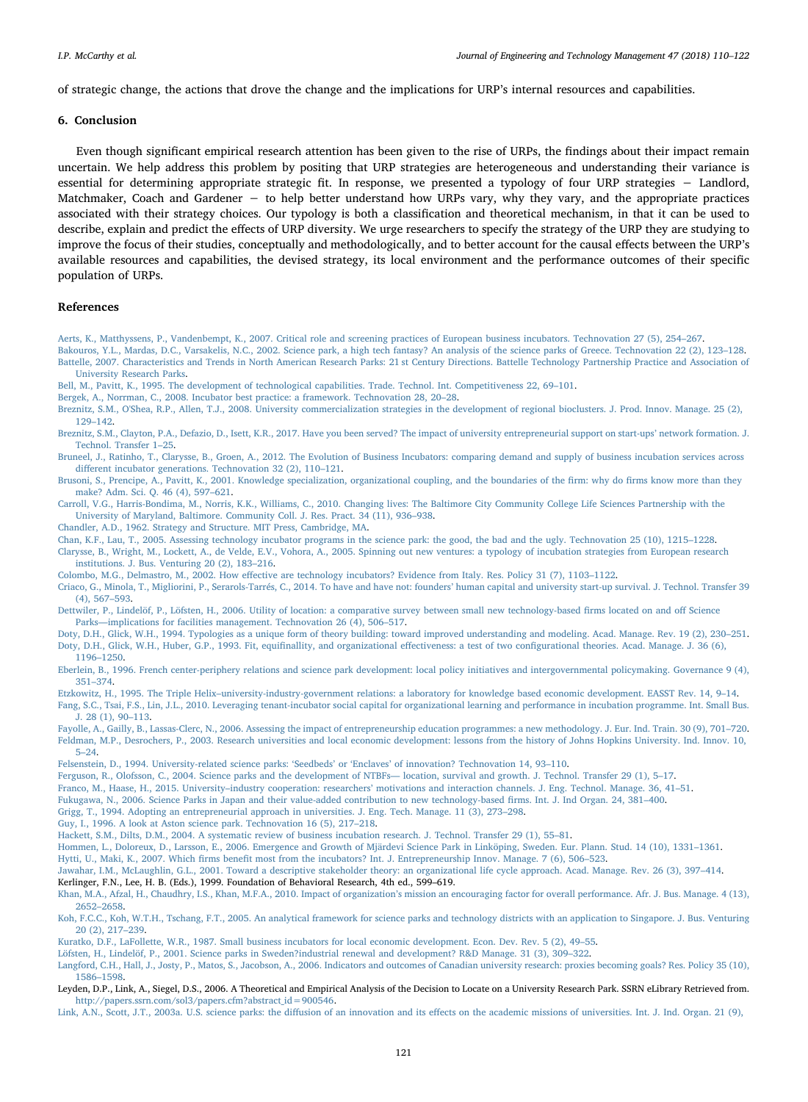of strategic change, the actions that drove the change and the implications for URP's internal resources and capabilities.

#### 6. Conclusion

Even though significant empirical research attention has been given to the rise of URPs, the findings about their impact remain uncertain. We help address this problem by positing that URP strategies are heterogeneous and understanding their variance is essential for determining appropriate strategic fit. In response, we presented a typology of four URP strategies − Landlord, Matchmaker, Coach and Gardener − to help better understand how URPs vary, why they vary, and the appropriate practices associated with their strategy choices. Our typology is both a classification and theoretical mechanism, in that it can be used to describe, explain and predict the effects of URP diversity. We urge researchers to specify the strategy of the URP they are studying to improve the focus of their studies, conceptually and methodologically, and to better account for the causal effects between the URP's available resources and capabilities, the devised strategy, its local environment and the performance outcomes of their specific population of URPs.

### References

<span id="page-11-14"></span>[Aerts, K., Matthyssens, P., Vandenbempt, K., 2007. Critical role and screening practices of European business incubators. Technovation 27 \(5\), 254](http://refhub.elsevier.com/S0923-4748(18)30011-0/sbref0005)–267.

<span id="page-11-15"></span><span id="page-11-0"></span>[Bakouros, Y.L., Mardas, D.C., Varsakelis, N.C., 2002. Science park, a high tech fantasy? An analysis of the science parks of Greece. Technovation 22 \(2\), 123](http://refhub.elsevier.com/S0923-4748(18)30011-0/sbref0010)–128. [Battelle, 2007. Characteristics and Trends in North American Research Parks: 21 st Century Directions. Battelle Technology Partnership Practice and Association of](http://refhub.elsevier.com/S0923-4748(18)30011-0/sbref0015) [University Research Parks.](http://refhub.elsevier.com/S0923-4748(18)30011-0/sbref0015)

<span id="page-11-35"></span>[Bell, M., Pavitt, K., 1995. The development of technological capabilities. Trade. Technol. Int. Competitiveness 22, 69](http://refhub.elsevier.com/S0923-4748(18)30011-0/sbref0020)–101.

<span id="page-11-9"></span>[Bergek, A., Norrman, C., 2008. Incubator best practice: a framework. Technovation 28, 20](http://refhub.elsevier.com/S0923-4748(18)30011-0/sbref0025)–28.

<span id="page-11-29"></span>[Breznitz, S.M., O'Shea, R.P., Allen, T.J., 2008. University commercialization strategies in the development of regional bioclusters. J. Prod. Innov. Manage. 25 \(2\),](http://refhub.elsevier.com/S0923-4748(18)30011-0/sbref0030) 129–[142.](http://refhub.elsevier.com/S0923-4748(18)30011-0/sbref0030)

<span id="page-11-16"></span>[Breznitz, S.M., Clayton, P.A., Defazio, D., Isett, K.R., 2017. Have you been served? The impact of university entrepreneurial support on start-ups](http://refhub.elsevier.com/S0923-4748(18)30011-0/sbref0035)' network formation. J. [Technol. Transfer 1](http://refhub.elsevier.com/S0923-4748(18)30011-0/sbref0035)–25.

<span id="page-11-27"></span>[Bruneel, J., Ratinho, T., Clarysse, B., Groen, A., 2012. The Evolution of Business Incubators: comparing demand and supply of business incubation services across](http://refhub.elsevier.com/S0923-4748(18)30011-0/sbref0040) diff[erent incubator generations. Technovation 32 \(2\), 110](http://refhub.elsevier.com/S0923-4748(18)30011-0/sbref0040)–121.

<span id="page-11-36"></span>[Brusoni, S., Prencipe, A., Pavitt, K., 2001. Knowledge specialization, organizational coupling, and the boundaries of the](http://refhub.elsevier.com/S0923-4748(18)30011-0/sbref0045) firm: why do firms know more than they [make? Adm. Sci. Q. 46 \(4\), 597](http://refhub.elsevier.com/S0923-4748(18)30011-0/sbref0045)–621.

<span id="page-11-12"></span>[Carroll, V.G., Harris-Bondima, M., Norris, K.K., Williams, C., 2010. Changing lives: The Baltimore City Community College Life Sciences Partnership with the](http://refhub.elsevier.com/S0923-4748(18)30011-0/sbref0050) [University of Maryland, Baltimore. Community Coll. J. Res. Pract. 34 \(11\), 936](http://refhub.elsevier.com/S0923-4748(18)30011-0/sbref0050)–938.

<span id="page-11-34"></span>[Chandler, A.D., 1962. Strategy and Structure. MIT Press, Cambridge, MA](http://refhub.elsevier.com/S0923-4748(18)30011-0/sbref0055).

<span id="page-11-6"></span>[Chan, K.F., Lau, T., 2005. Assessing technology incubator programs in the science park: the good, the bad and the ugly. Technovation 25 \(10\), 1215](http://refhub.elsevier.com/S0923-4748(18)30011-0/sbref0060)–1228.

<span id="page-11-10"></span>[Clarysse, B., Wright, M., Lockett, A., de Velde, E.V., Vohora, A., 2005. Spinning out new ventures: a typology of incubation strategies from European research](http://refhub.elsevier.com/S0923-4748(18)30011-0/sbref0065) [institutions. J. Bus. Venturing 20 \(2\), 183](http://refhub.elsevier.com/S0923-4748(18)30011-0/sbref0065)–216.

<span id="page-11-2"></span>Colombo, M.G., Delmastro, M., 2002. How eff[ective are technology incubators? Evidence from Italy. Res. Policy 31 \(7\), 1103](http://refhub.elsevier.com/S0923-4748(18)30011-0/sbref0070)–1122.

<span id="page-11-26"></span>[Criaco, G., Minola, T., Migliorini, P., Serarols-Tarrés, C., 2014. To have and have not: founders](http://refhub.elsevier.com/S0923-4748(18)30011-0/sbref0075)' human capital and university start-up survival. J. Technol. Transfer 39 [\(4\), 567](http://refhub.elsevier.com/S0923-4748(18)30011-0/sbref0075)–593.

<span id="page-11-23"></span>[Dettwiler, P., Lindelöf, P., Löfsten, H., 2006. Utility of location: a comparative survey between small new technology-based](http://refhub.elsevier.com/S0923-4748(18)30011-0/sbref0080) firms located on and off Science Parks—[implications for facilities management. Technovation 26 \(4\), 506](http://refhub.elsevier.com/S0923-4748(18)30011-0/sbref0080)–517.

<span id="page-11-39"></span><span id="page-11-33"></span>[Doty, D.H., Glick, W.H., 1994. Typologies as a unique form of theory building: toward improved understanding and modeling. Acad. Manage. Rev. 19 \(2\), 230](http://refhub.elsevier.com/S0923-4748(18)30011-0/sbref0085)–251. [Doty, D.H., Glick, W.H., Huber, G.P., 1993. Fit, equi](http://refhub.elsevier.com/S0923-4748(18)30011-0/sbref0090)finallity, and organizational effectiveness: a test of two configurational theories. Acad. Manage. J. 36 (6),

<span id="page-11-13"></span>1196–[1250.](http://refhub.elsevier.com/S0923-4748(18)30011-0/sbref0090) [Eberlein, B., 1996. French center-periphery relations and science park development: local policy initiatives and intergovernmental policymaking. Governance 9 \(4\),](http://refhub.elsevier.com/S0923-4748(18)30011-0/sbref0095) 351–[374.](http://refhub.elsevier.com/S0923-4748(18)30011-0/sbref0095)

<span id="page-11-28"></span>Etzkowitz, H., 1995. The Triple Helix–[university-industry-government relations: a laboratory for knowledge based economic development. EASST Rev. 14, 9](http://refhub.elsevier.com/S0923-4748(18)30011-0/sbref0100)–14.

<span id="page-11-24"></span>[Fang, S.C., Tsai, F.S., Lin, J.L., 2010. Leveraging tenant-incubator social capital for organizational learning and performance in incubation programme. Int. Small Bus.](http://refhub.elsevier.com/S0923-4748(18)30011-0/sbref0105) [J. 28 \(1\), 90](http://refhub.elsevier.com/S0923-4748(18)30011-0/sbref0105)–113.

<span id="page-11-30"></span><span id="page-11-17"></span>[Fayolle, A., Gailly, B., Lassas-Clerc, N., 2006. Assessing the impact of entrepreneurship education programmes: a new methodology. J. Eur. Ind. Train. 30 \(9\), 701](http://refhub.elsevier.com/S0923-4748(18)30011-0/sbref0110)–720. [Feldman, M.P., Desrochers, P., 2003. Research universities and local economic development: lessons from the history of Johns Hopkins University. Ind. Innov. 10,](http://refhub.elsevier.com/S0923-4748(18)30011-0/sbref0115) 5–[24.](http://refhub.elsevier.com/S0923-4748(18)30011-0/sbref0115)

<span id="page-11-4"></span>[Felsenstein, D., 1994. University-related science parks:](http://refhub.elsevier.com/S0923-4748(18)30011-0/sbref0120) 'Seedbeds' or 'Enclaves' of innovation? Technovation 14, 93–110.

<span id="page-11-5"></span>[Ferguson, R., Olofsson, C., 2004. Science parks and the development of NTBFs](http://refhub.elsevier.com/S0923-4748(18)30011-0/sbref0125)— location, survival and growth. J. Technol. Transfer 29 (1), 5–17.

<span id="page-11-18"></span>Franco, M., Haase, H., 2015. University–industry cooperation: researchers' [motivations and interaction channels. J. Eng. Technol. Manage. 36, 41](http://refhub.elsevier.com/S0923-4748(18)30011-0/sbref0130)–51.

<span id="page-11-3"></span>[Fukugawa, N., 2006. Science Parks in Japan and their value-added contribution to new technology-based](http://refhub.elsevier.com/S0923-4748(18)30011-0/sbref0135) firms. Int. J. Ind Organ. 24, 381–400.

<span id="page-11-32"></span>[Grigg, T., 1994. Adopting an entrepreneurial approach in universities. J. Eng. Tech. Manage. 11 \(3\), 273](http://refhub.elsevier.com/S0923-4748(18)30011-0/sbref0140)–298.

<span id="page-11-19"></span>[Guy, I., 1996. A look at Aston science park. Technovation 16 \(5\), 217](http://refhub.elsevier.com/S0923-4748(18)30011-0/sbref0145)–218.

<span id="page-11-11"></span>[Hackett, S.M., Dilts, D.M., 2004. A systematic review of business incubation research. J. Technol. Transfer 29 \(1\), 55](http://refhub.elsevier.com/S0923-4748(18)30011-0/sbref0150)–81.

<span id="page-11-20"></span>[Hommen, L., Doloreux, D., Larsson, E., 2006. Emergence and Growth of Mjärdevi Science Park in Linköping, Sweden. Eur. Plann. Stud. 14 \(10\), 1331](http://refhub.elsevier.com/S0923-4748(18)30011-0/sbref0155)–1361.

<span id="page-11-25"></span>Hytti, U., Maki, K., 2007. Which firms benefi[t most from the incubators? Int. J. Entrepreneurship Innov. Manage. 7 \(6\), 506](http://refhub.elsevier.com/S0923-4748(18)30011-0/sbref0160)–523.

<span id="page-11-38"></span><span id="page-11-37"></span>[Jawahar, I.M., McLaughlin, G.L., 2001. Toward a descriptive stakeholder theory: an organizational life cycle approach. Acad. Manage. Rev. 26 \(3\), 397](http://refhub.elsevier.com/S0923-4748(18)30011-0/sbref0165)–414. Kerlinger, F.N., Lee, H. B. (Eds.), 1999. Foundation of Behavioral Research, 4th ed., 599–619.

<span id="page-11-31"></span>

Khan, M.A., Afzal, H., Chaudhry, I.S., Khan, M.F.A., 2010. Impact of organization's [mission an encouraging factor for overall performance. Afr. J. Bus. Manage. 4 \(13\),](http://refhub.elsevier.com/S0923-4748(18)30011-0/sbref0175) 2652–[2658.](http://refhub.elsevier.com/S0923-4748(18)30011-0/sbref0175)

<span id="page-11-22"></span>[Koh, F.C.C., Koh, W.T.H., Tschang, F.T., 2005. An analytical framework for science parks and technology districts with an application to Singapore. J. Bus. Venturing](http://refhub.elsevier.com/S0923-4748(18)30011-0/sbref0180) [20 \(2\), 217](http://refhub.elsevier.com/S0923-4748(18)30011-0/sbref0180)–239.

<span id="page-11-40"></span>[Kuratko, D.F., LaFollette, W.R., 1987. Small business incubators for local economic development. Econ. Dev. Rev. 5 \(2\), 49](http://refhub.elsevier.com/S0923-4748(18)30011-0/sbref0185)–55.

<span id="page-11-21"></span>[Löfsten, H., Lindelöf, P., 2001. Science parks in Sweden?industrial renewal and development? R&D Manage. 31 \(3\), 309](http://refhub.elsevier.com/S0923-4748(18)30011-0/sbref0190)–322.

<span id="page-11-7"></span>[Langford, C.H., Hall, J., Josty, P., Matos, S., Jacobson, A., 2006. Indicators and outcomes of Canadian university research: proxies becoming goals? Res. Policy 35 \(10\),](http://refhub.elsevier.com/S0923-4748(18)30011-0/sbref0195) 1586–[1598.](http://refhub.elsevier.com/S0923-4748(18)30011-0/sbref0195)

<span id="page-11-1"></span>Leyden, D.P., Link, A., Siegel, D.S., 2006. A Theoretical and Empirical Analysis of the Decision to Locate on a University Research Park. SSRN eLibrary Retrieved from. [http://papers.ssrn.com/sol3/papers.cfm?abstract\\_id=900546](http://papers.ssrn.com/sol3/papers.cfm?abstract_id=900546).

<span id="page-11-8"></span>Link, A.N., Scott, J.T., 2003a. U.S. science parks: the diffusion of an innovation and its eff[ects on the academic missions of universities. Int. J. Ind. Organ. 21 \(9\),](http://refhub.elsevier.com/S0923-4748(18)30011-0/sbref0205)